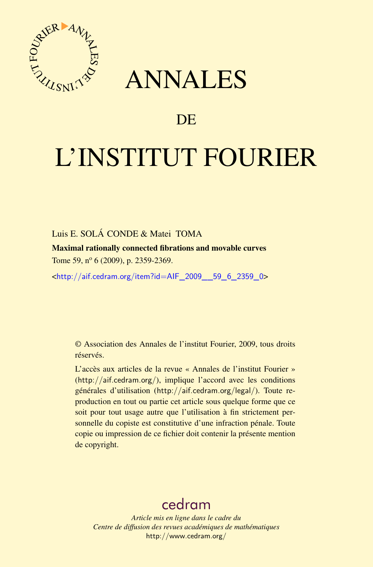

## ANNALES

### **DE**

# L'INSTITUT FOURIER

#### Luis E. SOLÁ CONDE & Matei TOMA

Maximal rationally connected fibrations and movable curves Tome 59, nº 6 (2009), p. 2359-2369.

<[http://aif.cedram.org/item?id=AIF\\_2009\\_\\_59\\_6\\_2359\\_0](http://aif.cedram.org/item?id=AIF_2009__59_6_2359_0)>

© Association des Annales de l'institut Fourier, 2009, tous droits réservés.

L'accès aux articles de la revue « Annales de l'institut Fourier » (<http://aif.cedram.org/>), implique l'accord avec les conditions générales d'utilisation (<http://aif.cedram.org/legal/>). Toute reproduction en tout ou partie cet article sous quelque forme que ce soit pour tout usage autre que l'utilisation à fin strictement personnelle du copiste est constitutive d'une infraction pénale. Toute copie ou impression de ce fichier doit contenir la présente mention de copyright.

## [cedram](http://www.cedram.org/)

*Article mis en ligne dans le cadre du Centre de diffusion des revues académiques de mathématiques* <http://www.cedram.org/>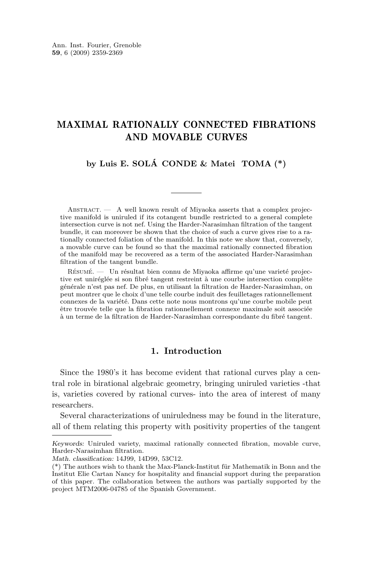#### MAXIMAL RATIONALLY CONNECTED FIBRATIONS AND MOVABLE CURVES

**by Luis E. SOLÁ CONDE & Matei TOMA (\*)**

Abstract. — A well known result of Miyaoka asserts that a complex projective manifold is uniruled if its cotangent bundle restricted to a general complete intersection curve is not nef. Using the Harder-Narasimhan filtration of the tangent bundle, it can moreover be shown that the choice of such a curve gives rise to a rationally connected foliation of the manifold. In this note we show that, conversely, a movable curve can be found so that the maximal rationally connected fibration of the manifold may be recovered as a term of the associated Harder-Narasimhan filtration of the tangent bundle.

Résumé. — Un résultat bien connu de Miyaoka affirme qu'une varieté projective est uniréglée si son fibré tangent restreint à une courbe intersection complète générale n'est pas nef. De plus, en utilisant la filtration de Harder-Narasimhan, on peut montrer que le choix d'une telle courbe induit des feuilletages rationnellement connexes de la variété. Dans cette note nous montrons qu'une courbe mobile peut être trouvée telle que la fibration rationnellement connexe maximale soit associée à un terme de la filtration de Harder-Narasimhan correspondante du fibré tangent.

#### **1. Introduction**

Since the 1980's it has become evident that rational curves play a central role in birational algebraic geometry, bringing uniruled varieties -that is, varieties covered by rational curves- into the area of interest of many researchers.

Several characterizations of uniruledness may be found in the literature, all of them relating this property with positivity properties of the tangent

Keywords: Uniruled variety, maximal rationally connected fibration, movable curve, Harder-Narasimhan filtration.

Math. classification: 14J99, 14D99, 53C12.

<sup>(\*)</sup> The authors wish to thank the Max-Planck-Institut für Mathematik in Bonn and the Institut Elie Cartan Nancy for hospitality and financial support during the preparation of this paper. The collaboration between the authors was partially supported by the project MTM2006-04785 of the Spanish Government.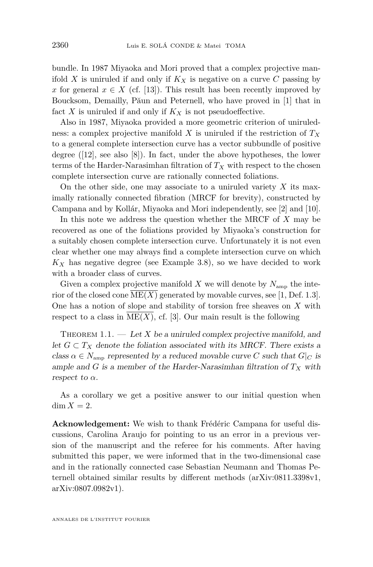<span id="page-2-0"></span>bundle. In 1987 Miyaoka and Mori proved that a complex projective manifold *X* is uniruled if and only if  $K_X$  is negative on a curve *C* passing by *x* for general  $x \in X$  (cf. [\[13\]](#page-11-0)). This result has been recently improved by Boucksom, Demailly, Păun and Peternell, who have proved in [\[1\]](#page-10-0) that in fact  $X$  is uniruled if and only if  $K_X$  is not pseudoeffective.

Also in 1987, Miyaoka provided a more geometric criterion of uniruledness: a complex projective manifold *X* is uniruled if the restriction of *T<sup>X</sup>* to a general complete intersection curve has a vector subbundle of positive degree ([\[12\]](#page-11-0), see also [\[8\]](#page-11-0)). In fact, under the above hypotheses, the lower terms of the Harder-Narasimhan filtration of  $T_X$  with respect to the chosen complete intersection curve are rationally connected foliations.

On the other side, one may associate to a uniruled variety *X* its maximally rationally connected fibration (MRCF for brevity), constructed by Campana and by Kollár, Miyaoka and Mori independently, see [\[2\]](#page-11-0) and [\[10\]](#page-11-0).

In this note we address the question whether the MRCF of *X* may be recovered as one of the foliations provided by Miyaoka's construction for a suitably chosen complete intersection curve. Unfortunately it is not even clear whether one may always find a complete intersection curve on which *K<sup>X</sup>* has negative degree (see Example [3.8\)](#page-10-0), so we have decided to work with a broader class of curves.

Given a complex projective manifold X we will denote by  $N_{\text{amp}}$  the interior of the closed cone  $\text{ME}(X)$  generated by movable curves, see [\[1,](#page-10-0) Def. 1.3]. One has a notion of slope and stability of torsion free sheaves on *X* with respect to a class in  $ME(X)$ , cf. [\[3\]](#page-11-0). Our main result is the following

THEOREM  $1.1.$  — Let X be a uniruled complex projective manifold, and let  $G ⊂ T_X$  denote the foliation associated with its MRCF. There exists a class  $\alpha \in N_{\text{amp}}$  represented by a reduced movable curve *C* such that  $G|_C$  is ample and *G* is a member of the Harder-Narasimhan filtration of  $T_X$  with respect to  $\alpha$ .

As a corollary we get a positive answer to our initial question when  $\dim X = 2$ .

**Acknowledgement:** We wish to thank Frédéric Campana for useful discussions, Carolina Araujo for pointing to us an error in a previous version of the manuscript and the referee for his comments. After having submitted this paper, we were informed that in the two-dimensional case and in the rationally connected case Sebastian Neumann and Thomas Peternell obtained similar results by different methods (arXiv:0811.3398v1, arXiv:0807.0982v1).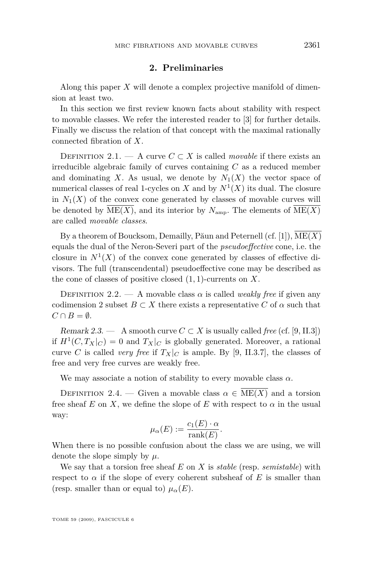#### **2. Preliminaries**

Along this paper *X* will denote a complex projective manifold of dimension at least two.

In this section we first review known facts about stability with respect to movable classes. We refer the interested reader to [\[3\]](#page-11-0) for further details. Finally we discuss the relation of that concept with the maximal rationally connected fibration of *X*.

DEFINITION 2.1. — A curve  $C \subset X$  is called *movable* if there exists an irreducible algebraic family of curves containing *C* as a reduced member and dominating *X*. As usual, we denote by  $N_1(X)$  the vector space of numerical classes of real 1-cycles on  $X$  and by  $N^1(X)$  its dual. The closure in  $N_1(X)$  of the convex cone generated by classes of movable curves will be denoted by  $\text{ME}(X)$ , and its interior by  $N_{\text{amp}}$ . The elements of  $\text{ME}(X)$ are called *movable classes*.

By a theorem of Boucksom, Demailly, Păun and Peternell (cf. [\[1\]](#page-10-0)), ME(*X*) equals the dual of the Neron-Severi part of the *pseudoeffective* cone, i.e. the closure in  $N^1(X)$  of the convex cone generated by classes of effective divisors. The full (transcendental) pseudoeffective cone may be described as the cone of classes of positive closed (1*,* 1)-currents on *X*.

DEFINITION 2.2. — A movable class  $\alpha$  is called *weakly free* if given any codimension 2 subset  $B \subset X$  there exists a representative C of  $\alpha$  such that  $C \cap B = \emptyset$ .

Remark 2.3. — A smooth curve  $C \subset X$  is usually called *free* (cf. [\[9,](#page-11-0) II.3]) if  $H^1(C, T_X|_C) = 0$  and  $T_X|_C$  is globally generated. Moreover, a rational curve *C* is called *very free* if  $T_X|_C$  is ample. By [\[9,](#page-11-0) II.3.7], the classes of free and very free curves are weakly free.

We may associate a notion of stability to every movable class  $\alpha$ .

DEFINITION 2.4. — Given a movable class  $\alpha \in \overline{\text{ME}(X)}$  and a torsion free sheaf  $E$  on  $X$ , we define the slope of  $E$  with respect to  $\alpha$  in the usual way:

$$
\mu_{\alpha}(E) := \frac{c_1(E) \cdot \alpha}{\text{rank}(E)}.
$$

When there is no possible confusion about the class we are using, we will denote the slope simply by *µ*.

We say that a torsion free sheaf *E* on *X* is *stable* (resp. *semistable*) with respect to  $\alpha$  if the slope of every coherent subsheaf of  $E$  is smaller than (resp. smaller than or equal to)  $\mu_{\alpha}(E)$ .

TOME 59 (2009), FASCICULE 6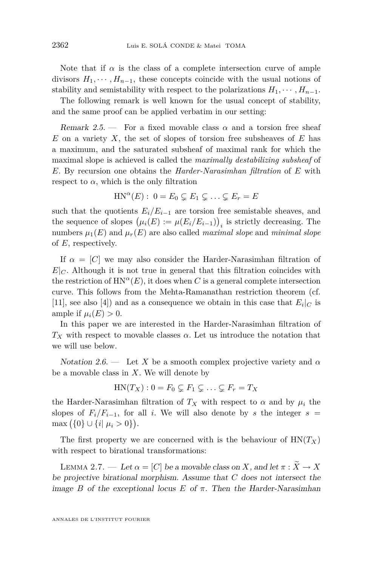<span id="page-4-0"></span>Note that if  $\alpha$  is the class of a complete intersection curve of ample divisors  $H_1, \cdots, H_{n-1}$ , these concepts coincide with the usual notions of stability and semistability with respect to the polarizations  $H_1, \dots, H_{n-1}$ .

The following remark is well known for the usual concept of stability, and the same proof can be applied verbatim in our setting:

Remark 2.5. — For a fixed movable class  $\alpha$  and a torsion free sheaf *E* on a variety *X*, the set of slopes of torsion free subsheaves of *E* has a maximum, and the saturated subsheaf of maximal rank for which the maximal slope is achieved is called the *maximally destabilizing subsheaf* of *E*. By recursion one obtains the *Harder-Narasimhan filtration* of *E* with respect to  $\alpha$ , which is the only filtration

$$
HN^{\alpha}(E): 0 = E_0 \subsetneq E_1 \subsetneq \ldots \subsetneq E_r = E
$$

such that the quotients  $E_i/E_{i-1}$  are torsion free semistable sheaves, and the sequence of slopes  $(\mu_i(E) := \mu(E_i/E_{i-1}))$ <sub>*i*</sub> is strictly decreasing. The numbers  $\mu_1(E)$  and  $\mu_r(E)$  are also called *maximal slope* and *minimal slope* of *E*, respectively.

If  $\alpha = [C]$  we may also consider the Harder-Narasimhan filtration of  $E|_C$ . Although it is not true in general that this filtration coincides with the restriction of  $HN^{\alpha}(E)$ , it does when *C* is a general complete intersection curve. This follows from the Mehta-Ramanathan restriction theorem (cf. [\[11\]](#page-11-0), see also [\[4\]](#page-11-0)) and as a consequence we obtain in this case that  $E_i|_C$  is ample if  $\mu_i(E) > 0$ .

In this paper we are interested in the Harder-Narasimhan filtration of *T<sup>X</sup>* with respect to movable classes *α*. Let us introduce the notation that we will use below.

Notation 2.6. — Let X be a smooth complex projective variety and  $\alpha$ be a movable class in *X*. We will denote by

$$
HN(T_X): 0 = F_0 \subsetneq F_1 \subsetneq \ldots \subsetneq F_r = T_X
$$

the Harder-Narasimhan filtration of  $T_X$  with respect to  $\alpha$  and by  $\mu_i$  the slopes of  $F_i/F_{i-1}$ , for all *i*. We will also denote by *s* the integer  $s =$  $\max (\{0\} \cup \{i | \mu_i > 0\}).$ 

The first property we are concerned with is the behaviour of  $HN(T_X)$ with respect to birational transformations:

LEMMA 2.7. — Let  $\alpha = [C]$  be a movable class on *X*, and let  $\pi : \overline{X} \to X$ be projective birational morphism. Assume that *C* does not intersect the image *B* of the exceptional locus *E* of  $\pi$ . Then the Harder-Narasimhan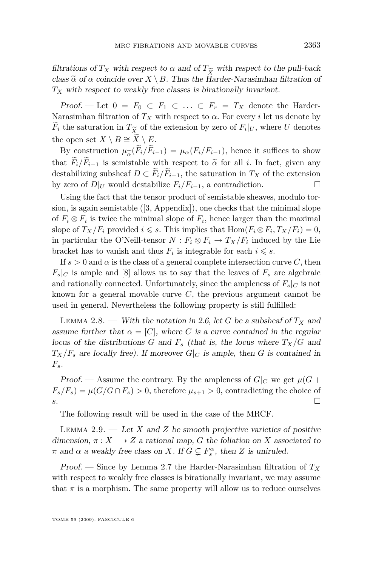<span id="page-5-0"></span>filtrations of  $T_X$  with respect to  $\alpha$  and of  $T_{\widetilde{X}}$  with respect to the pull-back<br>class  $\widetilde{\alpha}$  of  $\alpha$  coincide over  $X \setminus B$ . Thus the Harder-Narasimhan filtration of class  $\tilde{\alpha}$  of  $\alpha$  coincide over  $X \setminus B$ . Thus the Harder-Narasimhan filtration of  $T_X$  with respect to weakly free classes is birationally invariant.

Proof. — Let  $0 = F_0 \subset F_1 \subset \ldots \subset F_r = T_X$  denote the Harder-Narasimhan filtration of  $T_X$  with respect to  $\alpha$ . For every *i* let us denote by *F*<sub>*i*</sub> the saturation in  $T_{\widetilde{X}}$  of the extension by zero of  $F_i|_U$ , where *U* denotes the open set  $X \setminus B \cong \widetilde{X} \setminus E$ the open set  $X \setminus B \cong \tilde{X} \setminus E$ .

By construction  $\mu_{\alpha}^{\infty}(F_i/F_{i-1}) = \mu_{\alpha}(F_i/F_{i-1})$ , hence it suffices to show at  $\widetilde{F}_i/\widetilde{F}_{i-1}$  is semistable with respect to  $\widetilde{\alpha}$  for all *i*. In fact, given any that  $\widetilde{F}_i/\widetilde{F}_{i-1}$  is semistable with respect to  $\widetilde{\alpha}$  for all *i*. In fact, given any destabilizing subsheaf *D ⊂*  $\widetilde{F}_i/\widetilde{F}_{i-1}$ , the saturation in *T<sub>X</sub>* of the extension by zero of *D*|*I<sub>I</sub>* would destabilize  $F_i/F_{i-1}$ , a contradiction. □ by zero of  $D|_U$  would destabilize  $F_i/F_{i-1}$ , a contradiction.

Using the fact that the tensor product of semistable sheaves, modulo torsion, is again semistable ([\[3,](#page-11-0) Appendix]), one checks that the minimal slope of  $F_i \otimes F_i$  is twice the minimal slope of  $F_i$ , hence larger than the maximal slope of  $T_X/F_i$  provided  $i \leq s$ . This implies that  $\text{Hom}(F_i \otimes F_i, T_X/F_i) = 0$ , in particular the O'Neill-tensor  $N: F_i \otimes F_i \to T_X/F_i$  induced by the Lie bracket has to vanish and thus  $F_i$  is integrable for each  $i \leq s$ .

If  $s > 0$  and  $\alpha$  is the class of a general complete intersection curve *C*, then  $F_s|_C$  is ample and [\[8\]](#page-11-0) allows us to say that the leaves of  $F_s$  are algebraic and rationally connected. Unfortunately, since the ampleness of  $F_s|_C$  is not known for a general movable curve *C*, the previous argument cannot be used in general. Nevertheless the following property is still fulfilled:

LEMMA 2.8. — With the notation in [2.6,](#page-4-0) let G be a subsheaf of  $T_X$  and assume further that  $\alpha = [C]$ , where *C* is a curve contained in the regular locus of the distributions *G* and  $F_s$  (that is, the locus where  $T_X/G$  and  $T_X/F_s$  are locally free). If moreover  $G|_C$  is ample, then *G* is contained in *Fs*.

Proof. — Assume the contrary. By the ampleness of  $G|_C$  we get  $\mu(G +$  $F_s/F_s$ ) =  $\mu(G/G \cap F_s) > 0$ , therefore  $\mu_{s+1} > 0$ , contradicting the choice of *s*. □

The following result will be used in the case of the MRCF.

LEMMA 2.9.  $\qquad$  Let *X* and *Z* be smooth projective varieties of positive dimension,  $\pi : X \dashrightarrow Z$  a rational map, *G* the foliation on *X* associated to *π* and *α* a weakly free class on *X*. If  $G \subsetneq F_s^{\alpha}$ , then *Z* is uniruled.

Proof. — Since by Lemma [2.7](#page-4-0) the Harder-Narasimhan filtration of *T<sup>X</sup>* with respect to weakly free classes is birationally invariant, we may assume that  $\pi$  is a morphism. The same property will allow us to reduce ourselves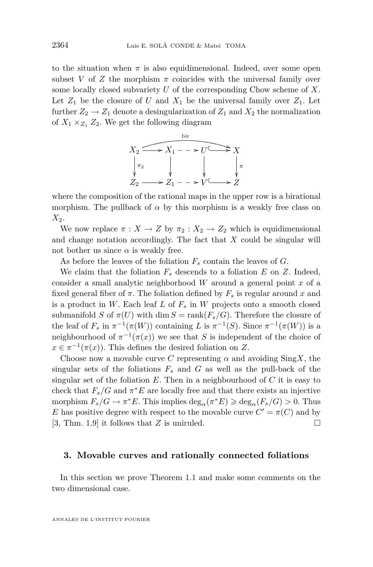to the situation when  $\pi$  is also equidimensional. Indeed, over some open subset *V* of *Z* the morphism  $\pi$  coincides with the universal family over some locally closed subvariety *U* of the corresponding Chow scheme of *X*. Let  $Z_1$  be the closure of  $U$  and  $X_1$  be the universal family over  $Z_1$ . Let further  $Z_2 \rightarrow Z_1$  denote a desingularization of  $Z_1$  and  $X_2$  the normalization of  $X_1 \times_{Z_1} Z_2$ . We get the following diagram



where the composition of the rational maps in the upper row is a birational morphism. The pullback of  $\alpha$  by this morphism is a weakly free class on *X*2.

We now replace  $\pi: X \to Z$  by  $\pi_2: X_2 \to Z_2$  which is equidimensional and change notation accordingly. The fact that *X* could be singular will not bother us since  $\alpha$  is weakly free.

As before the leaves of the foliation *F<sup>s</sup>* contain the leaves of *G*.

We claim that the foliation  $F_s$  descends to a foliation  $E$  on  $Z$ . Indeed, consider a small analytic neighborhood *W* around a general point *x* of a fixed general fiber of  $\pi$ . The foliation defined by  $F_s$  is regular around x and is a product in *W*. Each leaf *L* of  $F_s$  in *W* projects onto a smooth closed submanifold *S* of  $\pi(U)$  with dim  $S = \text{rank}(F_s/G)$ . Therefore the closure of the leaf of  $F_s$  in  $\pi^{-1}(\pi(W))$  containing *L* is  $\pi^{-1}(S)$ . Since  $\pi^{-1}(\pi(W))$  is a neighbourhood of  $\pi^{-1}(\pi(x))$  we see that *S* is independent of the choice of  $x \in \pi^{-1}(\pi(x))$ . This defines the desired foliation on *Z*.

Choose now a movable curve C representing  $\alpha$  and avoiding Sing X, the singular sets of the foliations  $F_s$  and  $G$  as well as the pull-back of the singular set of the foliation *E*. Then in a neighbourhood of *C* it is easy to check that  $F_s/G$  and  $\pi^*E$  are locally free and that there exists an injective morphism  $F_s/G \to \pi^*E$ . This implies  $\deg_\alpha(\pi^*E) \geq \deg_\alpha(F_s/G) > 0$ . Thus *E* has positive degree with respect to the movable curve  $C' = \pi(C)$  and by [\[3,](#page-11-0) Thm. 1.9] it follows that *Z* is uniruled.

#### **3. Movable curves and rationally connected foliations**

In this section we prove Theorem [1.1](#page-2-0) and make some comments on the two dimensional case.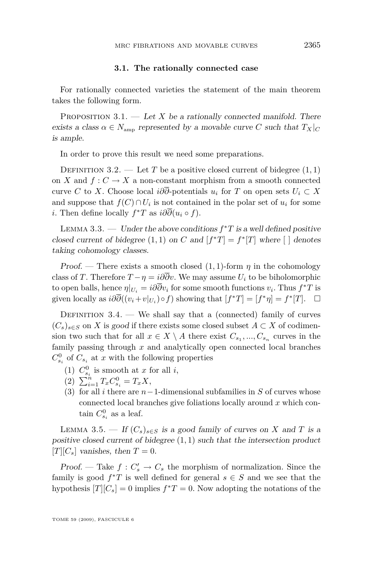#### **3.1. The rationally connected case**

<span id="page-7-0"></span>For rationally connected varieties the statement of the main theorem takes the following form.

PROPOSITION 3.1. — Let X be a rationally connected manifold. There exists a class  $\alpha \in N_{\text{amp}}$  represented by a movable curve *C* such that  $T_X|_C$ is ample.

In order to prove this result we need some preparations.

DEFINITION 3.2. — Let *T* be a positive closed current of bidegree  $(1, 1)$ on *X* and  $f: C \to X$  a non-constant morphism from a smooth connected curve *C* to *X*. Choose local  $i\partial\overline{\partial}$ -potentials  $u_i$  for *T* on open sets  $U_i \subset X$ and suppose that  $f(C) \cap U_i$  is not contained in the polar set of  $u_i$  for some *i*. Then define locally  $f^*T$  as  $i\partial\overline{\partial}(u_i \circ f)$ .

LEMMA 3.3. — Under the above conditions  $f^*T$  is a well defined positive closed current of bidegree  $(1, 1)$  on *C* and  $[f^*T] = f^*[T]$  where  $[ ]$  denotes taking cohomology classes.

Proof. — There exists a smooth closed  $(1, 1)$ -form  $\eta$  in the cohomology class of *T*. Therefore  $T - \eta = i\partial \overline{\partial}v$ . We may assume  $U_i$  to be biholomorphic to open balls, hence  $\eta|_{U_i} = i\partial\overline{\partial}v_i$  for some smooth functions  $v_i$ . Thus  $f^*T$  is given locally as  $i\partial\overline{\partial}((v_i+v|_{U_i})\circ f)$  showing that  $[f^*T]=[f^*\eta]=f^*[T]$ .  $\Box$ 

DEFINITION  $3.4.$  — We shall say that a (connected) family of curves  $(C_s)_{s \in S}$  on *X* is good if there exists some closed subset  $A \subset X$  of codimension two such that for all  $x \in X \setminus A$  there exist  $C_{s_1}, ..., C_{s_n}$  curves in the family passing through *x* and analytically open connected local branches  $C_{s_i}^0$  of  $C_{s_i}$  at *x* with the following properties

- (1)  $C_{s_i}^0$  is smooth at *x* for all *i*,
- $(2)$   $\sum_{i=1}^{n} T_x C_{s_i}^0 = T_x X$ ,
- (3) for all *i* there are *n−*1-dimensional subfamilies in *S* of curves whose connected local branches give foliations locally around *x* which contain  $C^0_{s_i}$  as a leaf.

LEMMA 3.5. — If  $(C_s)_{s \in S}$  is a good family of curves on *X* and *T* is a positive closed current of bidegree (1*,* 1) such that the intersection product  $|T||C_s|$  vanishes, then  $T=0$ .

Proof. — Take  $f: C_s' \to C_s$  the morphism of normalization. Since the family is good  $f^*T$  is well defined for general  $s \in S$  and we see that the hypothesis  $[T][C_s] = 0$  implies  $f^*T = 0$ . Now adopting the notations of the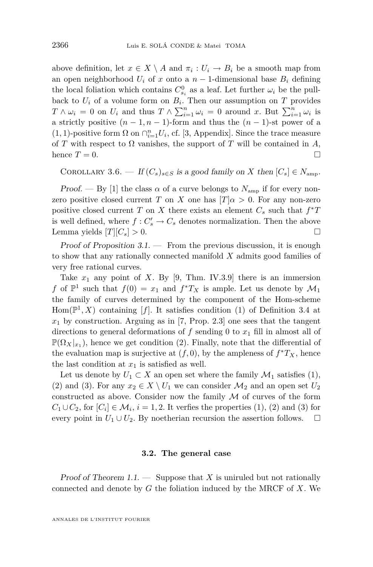<span id="page-8-0"></span>above definition, let  $x \in X \setminus A$  and  $\pi_i : U_i \to B_i$  be a smooth map from an open neighborhood  $U_i$  of *x* onto a  $n-1$ -dimensional base  $B_i$  defining the local foliation which contains  $C_{s_i}^0$  as a leaf. Let further  $\omega_i$  be the pullback to  $U_i$  of a volume form on  $B_i$ . Then our assumption on  $T$  provides  $T \wedge \omega_i = 0$  on  $U_i$  and thus  $T \wedge \sum_{i=1}^n \omega_i = 0$  around *x*. But  $\sum_{i=1}^n \omega_i$  is a strictly positive  $(n-1, n-1)$ -form and thus the  $(n-1)$ -st power of a (1, 1)-positive form  $\Omega$  on  $\bigcap_{i=1}^{n} U_i$ , cf. [\[3,](#page-11-0) Appendix]. Since the trace measure of *T* with respect to  $\Omega$  vanishes, the support of *T* will be contained in *A*, hence  $T = 0$ .

COROLLARY 3.6. — If  $(C_s)_{s \in S}$  is a good family on *X* then  $[C_s] \in N_{\text{amp}}$ .

Proof. — By [\[1\]](#page-10-0) the class  $\alpha$  of a curve belongs to  $N_{\text{amp}}$  if for every nonzero positive closed current *T* on *X* one has  $[T]a > 0$ . For any non-zero positive closed current *T* on *X* there exists an element  $C_s$  such that  $f^*T$ is well defined, where  $f: C_s' \to C_s$  denotes normalization. Then the above Lemma yields  $[T][C_s] > 0$ .

Proof of Proposition  $3.1$ . — From the previous discussion, it is enough to show that any rationally connected manifold *X* admits good families of very free rational curves.

Take  $x_1$  any point of *X*. By [\[9,](#page-11-0) Thm. IV.3.9] there is an immersion *f* of  $\mathbb{P}^1$  such that  $f(0) = x_1$  and  $f^*T_X$  is ample. Let us denote by  $\mathcal{M}_1$ the family of curves determined by the component of the Hom-scheme  $Hom(\mathbb{P}^1, X)$  containing [f]. It satisfies condition (1) of Definition [3.4](#page-7-0) at  $x_1$  by construction. Arguing as in [\[7,](#page-11-0) Prop. 2.3] one sees that the tangent directions to general deformations of  $f$  sending 0 to  $x_1$  fill in almost all of  $\mathbb{P}(\Omega_X|_{x_1})$ , hence we get condition (2). Finally, note that the differential of the evaluation map is surjective at  $(f, 0)$ , by the ampleness of  $f^*T_X$ , hence the last condition at  $x_1$  is satisfied as well.

Let us denote by  $U_1 \subset X$  an open set where the family  $\mathcal{M}_1$  satisfies (1), (2) and (3). For any  $x_2 \in X \setminus U_1$  we can consider  $\mathcal{M}_2$  and an open set  $U_2$ constructed as above. Consider now the family *M* of curves of the form  $C_1 \cup C_2$ , for  $[C_i] \in \mathcal{M}_i$ ,  $i = 1, 2$ . It verfies the properties (1), (2) and (3) for every point in  $U_1 \cup U_2$ . By noetherian recursion the assertion follows.  $\Box$ 

#### **3.2. The general case**

Proof of Theorem  $1.1.$  — Suppose that  $X$  is uniruled but not rationally connected and denote by *G* the foliation induced by the MRCF of *X*. We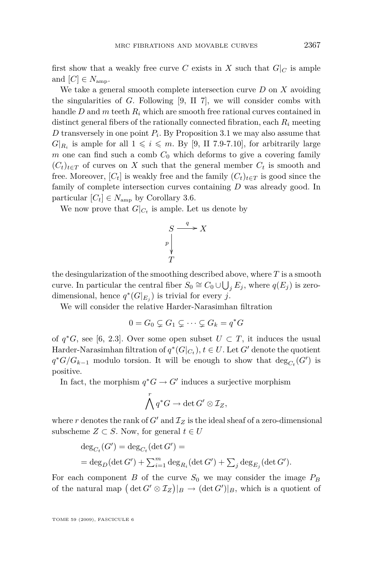first show that a weakly free curve C exists in X such that  $G|_C$  is ample and  $[C] \in N_{\text{amp}}$ .

We take a general smooth complete intersection curve *D* on *X* avoiding the singularities of *G*. Following [\[9,](#page-11-0) II 7], we will consider combs with handle *D* and *m* teeth *R<sup>i</sup>* which are smooth free rational curves contained in distinct general fibers of the rationally connected fibration, each *R<sup>i</sup>* meeting *D* transversely in one point *P<sup>i</sup>* . By Proposition [3.1](#page-7-0) we may also assume that  $G|_{R_i}$  is ample for all  $1 \leq i \leq m$ . By [\[9,](#page-11-0) II 7.9-7.10], for arbitrarily large *m* one can find such a comb  $C_0$  which deforms to give a covering family  $(C_t)_{t \in T}$  of curves on *X* such that the general member  $C_t$  is smooth and free. Moreover,  $[C_t]$  is weakly free and the family  $(C_t)_{t \in T}$  is good since the family of complete intersection curves containing *D* was already good. In particular  $[C_t] \in N_{\text{amp}}$  by Corollary [3.6.](#page-8-0)

We now prove that  $G|_{C_t}$  is ample. Let us denote by

$$
S \xrightarrow{q} X
$$
\n
$$
P \downarrow \qquad T
$$

the desingularization of the smoothing described above, where *T* is a smooth curve. In particular the central fiber  $S_0 \cong C_0 \cup \bigcup_j E_j$ , where  $q(E_j)$  is zerodimensional, hence  $q^*(G|_{E_j})$  is trivial for every *j*.

We will consider the relative Harder-Narasimhan filtration

$$
0 = G_0 \subsetneq G_1 \subsetneq \cdots \subsetneq G_k = q^*G
$$

of  $q$ <sup>\*</sup>*G*, see [\[6,](#page-11-0) 2.3]. Over some open subset  $U \subset T$ , it induces the usual Harder-Narasimhan filtration of  $q^*(G|_{C_t})$ ,  $t \in U$ . Let  $G'$  denote the quotient  $q$ <sup>\*</sup>*G*/ $G$ <sub>*k*−1</sub> modulo torsion. It will be enough to show that  $deg_{C_t}(G')$  is positive.

In fact, the morphism  $q^*G \to G'$  induces a surjective morphism

$$
\bigwedge^r q^*G \to \det G' \otimes \mathcal{I}_Z,
$$

where  $r$  denotes the rank of  $G'$  and  $\mathcal{I}_Z$  is the ideal sheaf of a zero-dimensional subscheme  $Z \subset S$ . Now, for general  $t \in U$ 

$$
\begin{aligned} \deg_{C_t}(G') &= \deg_{C_t}(\det G') = \\ &= \deg_D(\det G') + \sum_{i=1}^m \deg_{R_i}(\det G') + \sum_j \deg_{E_j}(\det G'). \end{aligned}
$$

For each component *B* of the curve  $S_0$  we may consider the image  $P_B$ of the natural map  $(\det G' \otimes I_Z)|_B \to (\det G')|_B$ , which is a quotient of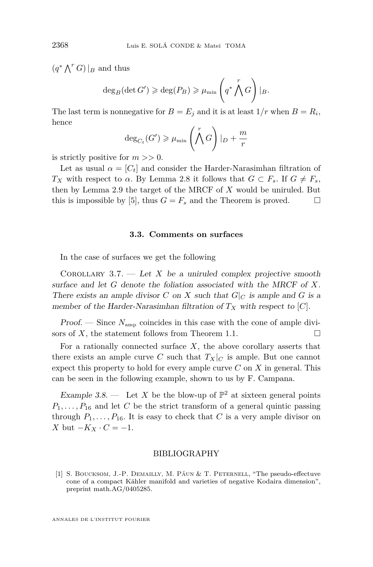$(q^* \bigwedge^r G) |_{B}$  and thus

$$
\deg_B(\det G') \geqslant \deg(P_B) \geqslant \mu_{\min}\left(q^* \bigwedge^r G\right)|_B.
$$

The last term is nonnegative for  $B = E_j$  and it is at least  $1/r$  when  $B = R_i$ , hence

$$
\deg_{C_t}(G') \ge \mu_{\min}\left(\bigwedge^r G\right)|_D + \frac{m}{r}
$$

is strictly positive for *m >>* 0.

Let as usual  $\alpha = [C_t]$  and consider the Harder-Narasimhan filtration of *TX* with respect to *α*. By Lemma [2.8](#page-5-0) it follows that  $G \subset F_s$ . If  $G \neq F_s$ , then by Lemma [2.9](#page-5-0) the target of the MRCF of *X* would be uniruled. But this is impossible by [\[5\]](#page-11-0), thus  $G = F_s$  and the Theorem is proved.  $\Box$ 

#### **3.3. Comments on surfaces**

In the case of surfaces we get the following

COROLLARY 3.7.  $\qquad$  Let *X* be a uniruled complex projective smooth surface and let *G* denote the foliation associated with the MRCF of *X*. There exists an ample divisor *C* on *X* such that  $G|_C$  is ample and *G* is a member of the Harder-Narasimhan filtration of  $T_X$  with respect to  $[C]$ .

Proof. — Since *N*amp coincides in this case with the cone of ample divisors of *X*, the statement follows from Theorem [1.1.](#page-2-0)

For a rationally connected surface  $X$ , the above corollary asserts that there exists an ample curve *C* such that  $T_X|_C$  is ample. But one cannot expect this property to hold for every ample curve *C* on *X* in general. This can be seen in the following example, shown to us by F. Campana.

Example 3.8.  $\qquad$  Let X be the blow-up of  $\mathbb{P}^2$  at sixteen general points  $P_1, \ldots, P_{16}$  and let *C* be the strict transform of a general quintic passing through  $P_1, \ldots, P_{16}$ . It is easy to check that *C* is a very ample divisor on *X* but *−K<sup>X</sup> · C* = *−*1.

#### BIBLIOGRAPHY

[1] S. Boucksom, J.-P. Demailly, M. Păun & T. Peternell, "The pseudo-effectuve cone of a compact Kähler manifold and varieties of negative Kodaira dimension", preprint math.AG/0405285.

ANNALES DE L'INSTITUT FOURIER

<span id="page-10-0"></span>